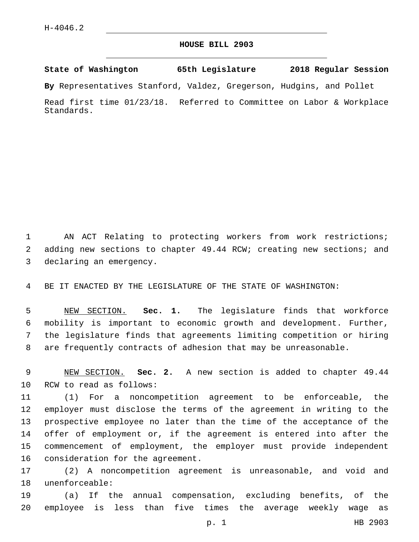## **HOUSE BILL 2903**

**State of Washington 65th Legislature 2018 Regular Session**

**By** Representatives Stanford, Valdez, Gregerson, Hudgins, and Pollet

Read first time 01/23/18. Referred to Committee on Labor & Workplace Standards.

1 AN ACT Relating to protecting workers from work restrictions; 2 adding new sections to chapter 49.44 RCW; creating new sections; and 3 declaring an emergency.

4 BE IT ENACTED BY THE LEGISLATURE OF THE STATE OF WASHINGTON:

 NEW SECTION. **Sec. 1.** The legislature finds that workforce mobility is important to economic growth and development. Further, the legislature finds that agreements limiting competition or hiring are frequently contracts of adhesion that may be unreasonable.

9 NEW SECTION. **Sec. 2.** A new section is added to chapter 49.44 10 RCW to read as follows:

 (1) For a noncompetition agreement to be enforceable, the employer must disclose the terms of the agreement in writing to the prospective employee no later than the time of the acceptance of the offer of employment or, if the agreement is entered into after the commencement of employment, the employer must provide independent 16 consideration for the agreement.

17 (2) A noncompetition agreement is unreasonable, and void and 18 unenforceable:

19 (a) If the annual compensation, excluding benefits, of the 20 employee is less than five times the average weekly wage as

p. 1 HB 2903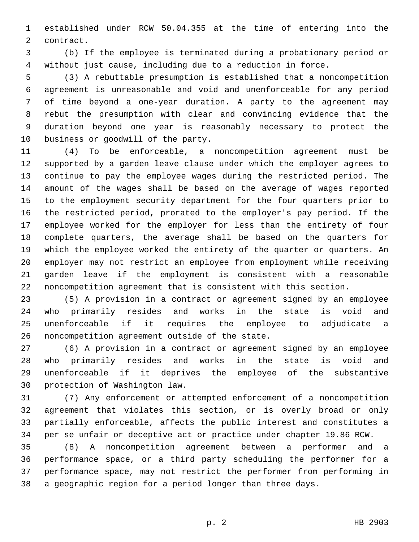established under RCW 50.04.355 at the time of entering into the 2 contract.

 (b) If the employee is terminated during a probationary period or without just cause, including due to a reduction in force.

 (3) A rebuttable presumption is established that a noncompetition agreement is unreasonable and void and unenforceable for any period of time beyond a one-year duration. A party to the agreement may rebut the presumption with clear and convincing evidence that the duration beyond one year is reasonably necessary to protect the 10 business or goodwill of the party.

 (4) To be enforceable, a noncompetition agreement must be supported by a garden leave clause under which the employer agrees to continue to pay the employee wages during the restricted period. The amount of the wages shall be based on the average of wages reported to the employment security department for the four quarters prior to the restricted period, prorated to the employer's pay period. If the employee worked for the employer for less than the entirety of four complete quarters, the average shall be based on the quarters for which the employee worked the entirety of the quarter or quarters. An employer may not restrict an employee from employment while receiving garden leave if the employment is consistent with a reasonable noncompetition agreement that is consistent with this section.

 (5) A provision in a contract or agreement signed by an employee who primarily resides and works in the state is void and unenforceable if it requires the employee to adjudicate a 26 noncompetition agreement outside of the state.

 (6) A provision in a contract or agreement signed by an employee who primarily resides and works in the state is void and unenforceable if it deprives the employee of the substantive 30 protection of Washington law.

 (7) Any enforcement or attempted enforcement of a noncompetition agreement that violates this section, or is overly broad or only partially enforceable, affects the public interest and constitutes a per se unfair or deceptive act or practice under chapter 19.86 RCW.

 (8) A noncompetition agreement between a performer and a performance space, or a third party scheduling the performer for a performance space, may not restrict the performer from performing in a geographic region for a period longer than three days.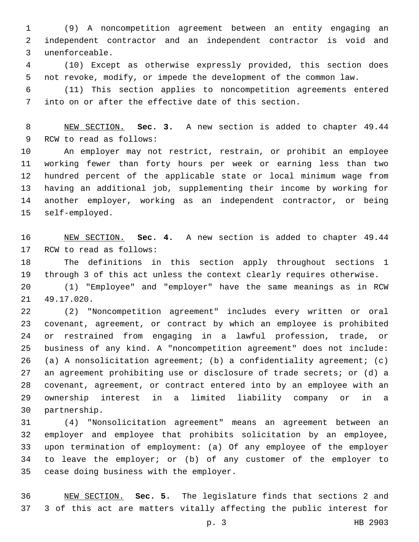(9) A noncompetition agreement between an entity engaging an independent contractor and an independent contractor is void and unenforceable.3

 (10) Except as otherwise expressly provided, this section does not revoke, modify, or impede the development of the common law.

 (11) This section applies to noncompetition agreements entered into on or after the effective date of this section.

 NEW SECTION. **Sec. 3.** A new section is added to chapter 49.44 9 RCW to read as follows:

 An employer may not restrict, restrain, or prohibit an employee working fewer than forty hours per week or earning less than two hundred percent of the applicable state or local minimum wage from having an additional job, supplementing their income by working for another employer, working as an independent contractor, or being 15 self-employed.

 NEW SECTION. **Sec. 4.** A new section is added to chapter 49.44 17 RCW to read as follows:

 The definitions in this section apply throughout sections 1 through 3 of this act unless the context clearly requires otherwise.

 (1) "Employee" and "employer" have the same meanings as in RCW 21 49.17.020.

 (2) "Noncompetition agreement" includes every written or oral covenant, agreement, or contract by which an employee is prohibited or restrained from engaging in a lawful profession, trade, or business of any kind. A "noncompetition agreement" does not include: (a) A nonsolicitation agreement; (b) a confidentiality agreement; (c) an agreement prohibiting use or disclosure of trade secrets; or (d) a covenant, agreement, or contract entered into by an employee with an ownership interest in a limited liability company or in a 30 partnership.

 (4) "Nonsolicitation agreement" means an agreement between an employer and employee that prohibits solicitation by an employee, upon termination of employment: (a) Of any employee of the employer to leave the employer; or (b) of any customer of the employer to 35 cease doing business with the employer.

 NEW SECTION. **Sec. 5.** The legislature finds that sections 2 and 3 of this act are matters vitally affecting the public interest for